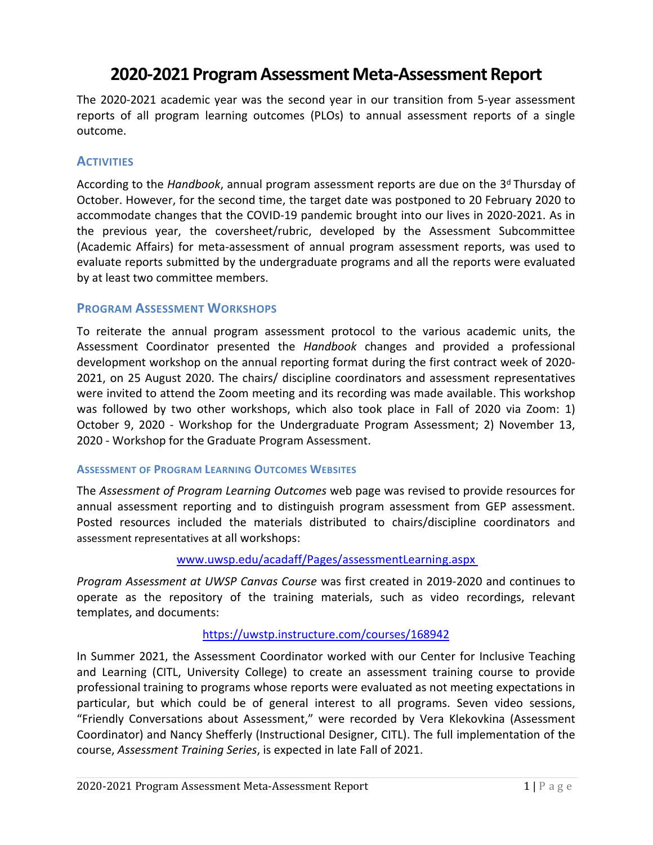# **2020-2021 Program Assessment Meta-Assessment Report**

The 2020-2021 academic year was the second year in our transition from 5-year assessment reports of all program learning outcomes (PLOs) to annual assessment reports of a single outcome.

# **ACTIVITIES**

According to the *Handbook*, annual program assessment reports are due on the 3<sup>d</sup> Thursday of October. However, for the second time, the target date was postponed to 20 February 2020 to accommodate changes that the COVID-19 pandemic brought into our lives in 2020-2021. As in the previous year, the coversheet/rubric, developed by the Assessment Subcommittee (Academic Affairs) for meta-assessment of annual program assessment reports, was used to evaluate reports submitted by the undergraduate programs and all the reports were evaluated by at least two committee members.

# **PROGRAM ASSESSMENT WORKSHOPS**

To reiterate the annual program assessment protocol to the various academic units, the Assessment Coordinator presented the *Handbook* changes and provided a professional development workshop on the annual reporting format during the first contract week of 2020- 2021, on 25 August 2020. The chairs/ discipline coordinators and assessment representatives were invited to attend the Zoom meeting and its recording was made available. This workshop was followed by two other workshops, which also took place in Fall of 2020 via Zoom: 1) October 9, 2020 - Workshop for the Undergraduate Program Assessment; 2) November 13, 2020 - Workshop for the Graduate Program Assessment.

#### **ASSESSMENT OF PROGRAM LEARNING OUTCOMES WEBSITES**

The *Assessment of Program Learning Outcomes* web page was revised to provide resources for annual assessment reporting and to distinguish program assessment from GEP assessment. Posted resources included the materials distributed to chairs/discipline coordinators and assessment representatives at all workshops:

#### [www.uwsp.edu/acadaff/Pages/assessmentLearning.aspx](http://www.uwsp.edu/acadaff/Pages/assessmentLearning.aspx)

*Program Assessment at UWSP Canvas Course* was first created in 2019-2020 and continues to operate as the repository of the training materials, such as video recordings, relevant templates, and documents:

#### <https://uwstp.instructure.com/courses/168942>

In Summer 2021, the Assessment Coordinator worked with our Center for Inclusive Teaching and Learning (CITL, University College) to create an assessment training course to provide professional training to programs whose reports were evaluated as not meeting expectations in particular, but which could be of general interest to all programs. Seven video sessions, "Friendly Conversations about Assessment," were recorded by Vera Klekovkina (Assessment Coordinator) and Nancy Shefferly (Instructional Designer, CITL). The full implementation of the course, *Assessment Training Series*, is expected in late Fall of 2021.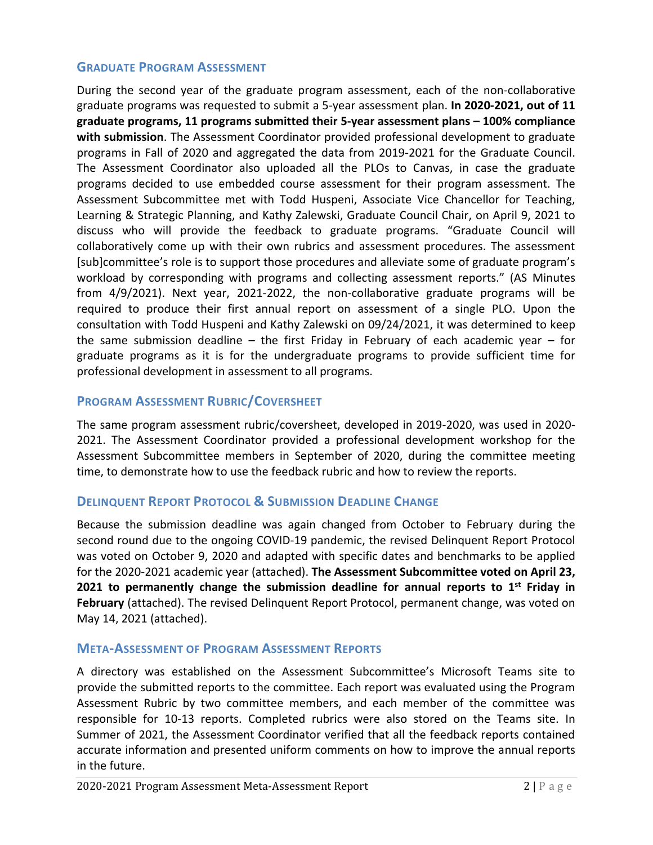#### **GRADUATE PROGRAM ASSESSMENT**

During the second year of the graduate program assessment, each of the non-collaborative graduate programs was requested to submit a 5-year assessment plan. **In 2020-2021, out of 11 graduate programs, 11 programs submitted their 5-year assessment plans – 100% compliance with submission**. The Assessment Coordinator provided professional development to graduate programs in Fall of 2020 and aggregated the data from 2019-2021 for the Graduate Council. The Assessment Coordinator also uploaded all the PLOs to Canvas, in case the graduate programs decided to use embedded course assessment for their program assessment. The Assessment Subcommittee met with Todd Huspeni, Associate Vice Chancellor for Teaching, Learning & Strategic Planning, and Kathy Zalewski, Graduate Council Chair, on April 9, 2021 to discuss who will provide the feedback to graduate programs. "Graduate Council will collaboratively come up with their own rubrics and assessment procedures. The assessment [sub]committee's role is to support those procedures and alleviate some of graduate program's workload by corresponding with programs and collecting assessment reports." (AS Minutes from 4/9/2021). Next year, 2021-2022, the non-collaborative graduate programs will be required to produce their first annual report on assessment of a single PLO. Upon the consultation with Todd Huspeni and Kathy Zalewski on 09/24/2021, it was determined to keep the same submission deadline – the first Friday in February of each academic year – for graduate programs as it is for the undergraduate programs to provide sufficient time for professional development in assessment to all programs.

# **PROGRAM ASSESSMENT RUBRIC/COVERSHEET**

The same program assessment rubric/coversheet, developed in 2019-2020, was used in 2020- 2021. The Assessment Coordinator provided a professional development workshop for the Assessment Subcommittee members in September of 2020, during the committee meeting time, to demonstrate how to use the feedback rubric and how to review the reports.

# **DELINQUENT REPORT PROTOCOL & SUBMISSION DEADLINE CHANGE**

Because the submission deadline was again changed from October to February during the second round due to the ongoing COVID-19 pandemic, the revised Delinquent Report Protocol was voted on October 9, 2020 and adapted with specific dates and benchmarks to be applied for the 2020-2021 academic year (attached). **The Assessment Subcommittee voted on April 23, 2021 to permanently change the submission deadline for annual reports to 1 st Friday in February** (attached). The revised Delinquent Report Protocol, permanent change, was voted on May 14, 2021 (attached).

# **META-ASSESSMENT OF PROGRAM ASSESSMENT REPORTS**

A directory was established on the Assessment Subcommittee's Microsoft Teams site to provide the submitted reports to the committee. Each report was evaluated using the Program Assessment Rubric by two committee members, and each member of the committee was responsible for 10-13 reports. Completed rubrics were also stored on the Teams site. In Summer of 2021, the Assessment Coordinator verified that all the feedback reports contained accurate information and presented uniform comments on how to improve the annual reports in the future.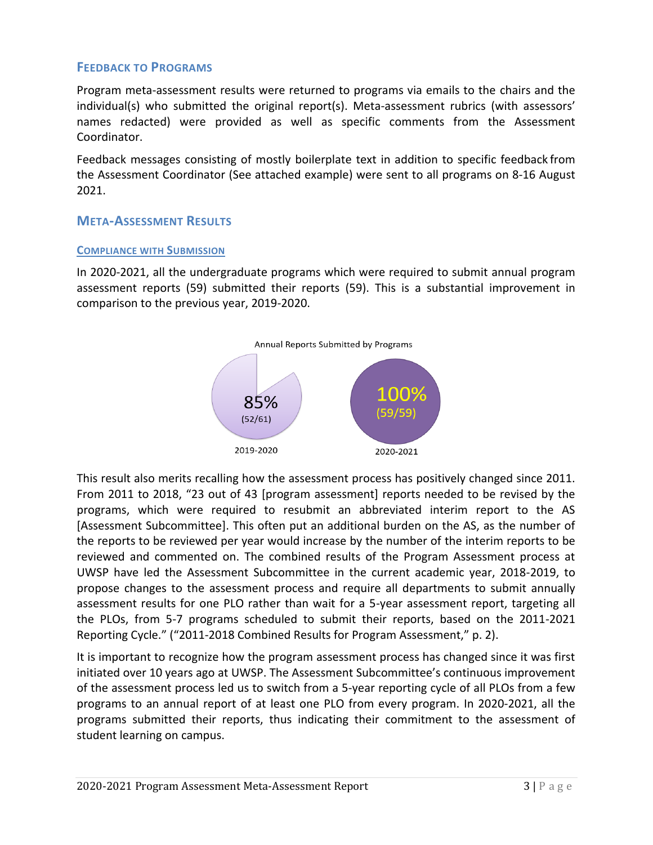# **FEEDBACK TO PROGRAMS**

Program meta-assessment results were returned to programs via emails to the chairs and the individual(s) who submitted the original report(s). Meta-assessment rubrics (with assessors' names redacted) were provided as well as specific comments from the Assessment Coordinator.

Feedback messages consisting of mostly boilerplate text in addition to specific feedback from the Assessment Coordinator (See attached example) were sent to all programs on 8-16 August 2021.

# **META-ASSESSMENT RESULTS**

#### **COMPLIANCE WITH SUBMISSION**

In 2020-2021, all the undergraduate programs which were required to submit annual program assessment reports (59) submitted their reports (59). This is a substantial improvement in comparison to the previous year, 2019-2020.



This result also merits recalling how the assessment process has positively changed since 2011. From 2011 to 2018, "23 out of 43 [program assessment] reports needed to be revised by the programs, which were required to resubmit an abbreviated interim report to the AS [Assessment Subcommittee]. This often put an additional burden on the AS, as the number of the reports to be reviewed per year would increase by the number of the interim reports to be reviewed and commented on. The combined results of the Program Assessment process at UWSP have led the Assessment Subcommittee in the current academic year, 2018-2019, to propose changes to the assessment process and require all departments to submit annually assessment results for one PLO rather than wait for a 5-year assessment report, targeting all the PLOs, from 5-7 programs scheduled to submit their reports, based on the 2011-2021 Reporting Cycle." ("2011-2018 Combined Results for Program Assessment," p. 2).

It is important to recognize how the program assessment process has changed since it was first initiated over 10 years ago at UWSP. The Assessment Subcommittee's continuous improvement of the assessment process led us to switch from a 5-year reporting cycle of all PLOs from a few programs to an annual report of at least one PLO from every program. In 2020-2021, all the programs submitted their reports, thus indicating their commitment to the assessment of student learning on campus.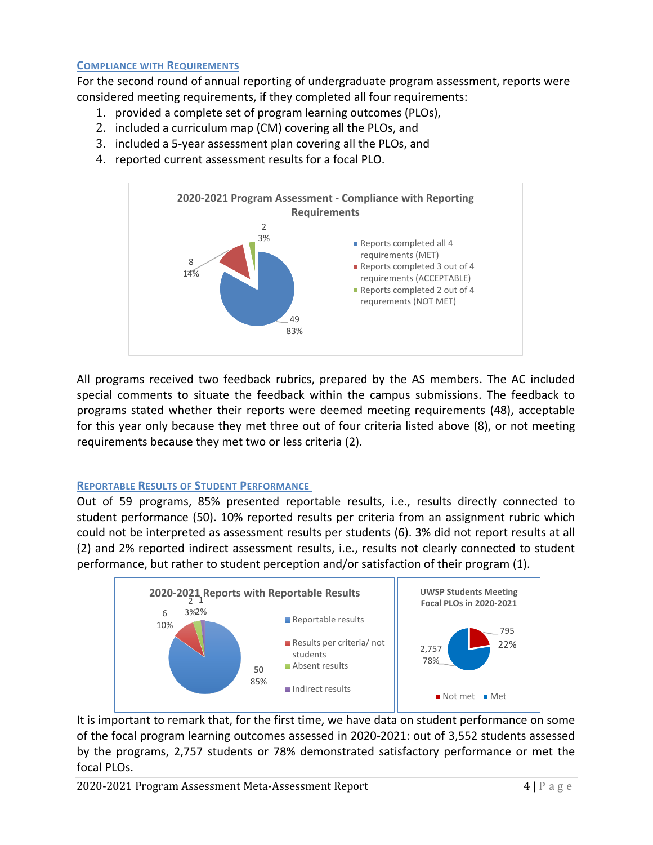#### **COMPLIANCE WITH REQUIREMENTS**

For the second round of annual reporting of undergraduate program assessment, reports were considered meeting requirements, if they completed all four requirements:

- 1. provided a complete set of program learning outcomes (PLOs),
- 2. included a curriculum map (CM) covering all the PLOs, and
- 3. included a 5-year assessment plan covering all the PLOs, and
- 4. reported current assessment results for a focal PLO.



All programs received two feedback rubrics, prepared by the AS members. The AC included special comments to situate the feedback within the campus submissions. The feedback to programs stated whether their reports were deemed meeting requirements (48), acceptable for this year only because they met three out of four criteria listed above (8), or not meeting requirements because they met two or less criteria (2).

#### **REPORTABLE RESULTS OF STUDENT PERFORMANCE**

Out of 59 programs, 85% presented reportable results, i.e., results directly connected to student performance (50). 10% reported results per criteria from an assignment rubric which could not be interpreted as assessment results per students (6). 3% did not report results at all (2) and 2% reported indirect assessment results, i.e., results not clearly connected to student performance, but rather to student perception and/or satisfaction of their program (1).



It is important to remark that, for the first time, we have data on student performance on some of the focal program learning outcomes assessed in 2020-2021: out of 3,552 students assessed by the programs, 2,757 students or 78% demonstrated satisfactory performance or met the focal PLOs.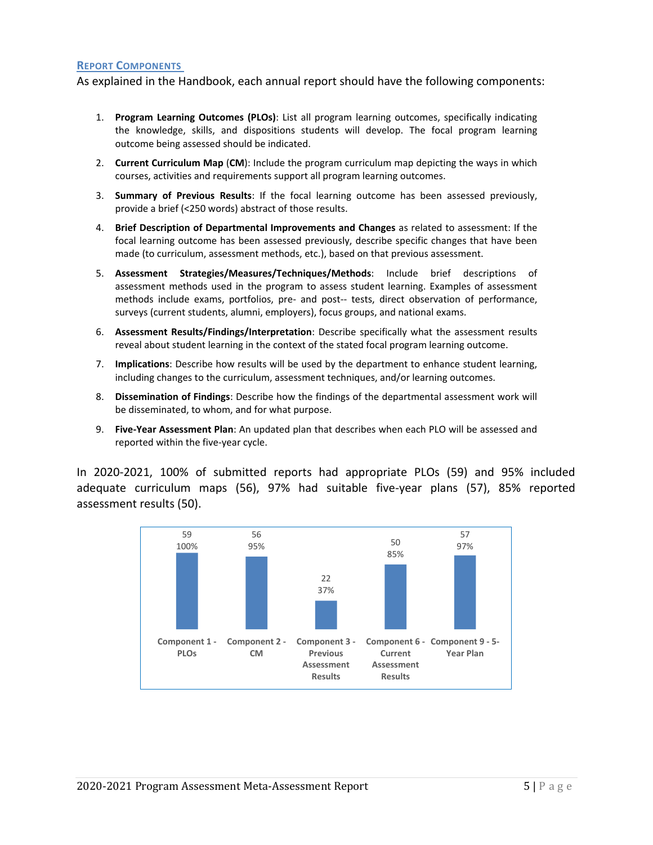#### **REPORT COMPONENTS**

As explained in the Handbook, each annual report should have the following components:

- 1. **Program Learning Outcomes (PLOs)**: List all program learning outcomes, specifically indicating the knowledge, skills, and dispositions students will develop. The focal program learning outcome being assessed should be indicated.
- 2. **Current Curriculum Map** (**CM**): Include the program curriculum map depicting the ways in which courses, activities and requirements support all program learning outcomes.
- 3. **Summary of Previous Results**: If the focal learning outcome has been assessed previously, provide a brief (<250 words) abstract of those results.
- 4. **Brief Description of Departmental Improvements and Changes** as related to assessment: If the focal learning outcome has been assessed previously, describe specific changes that have been made (to curriculum, assessment methods, etc.), based on that previous assessment.
- 5. **Assessment Strategies/Measures/Techniques/Methods**: Include brief descriptions of assessment methods used in the program to assess student learning. Examples of assessment methods include exams, portfolios, pre- and post-- tests, direct observation of performance, surveys (current students, alumni, employers), focus groups, and national exams.
- 6. **Assessment Results/Findings/Interpretation**: Describe specifically what the assessment results reveal about student learning in the context of the stated focal program learning outcome.
- 7. **Implications**: Describe how results will be used by the department to enhance student learning, including changes to the curriculum, assessment techniques, and/or learning outcomes.
- 8. **Dissemination of Findings**: Describe how the findings of the departmental assessment work will be disseminated, to whom, and for what purpose.
- 9. **Five-Year Assessment Plan**: An updated plan that describes when each PLO will be assessed and reported within the five-year cycle.

In 2020-2021, 100% of submitted reports had appropriate PLOs (59) and 95% included adequate curriculum maps (56), 97% had suitable five-year plans (57), 85% reported assessment results (50).

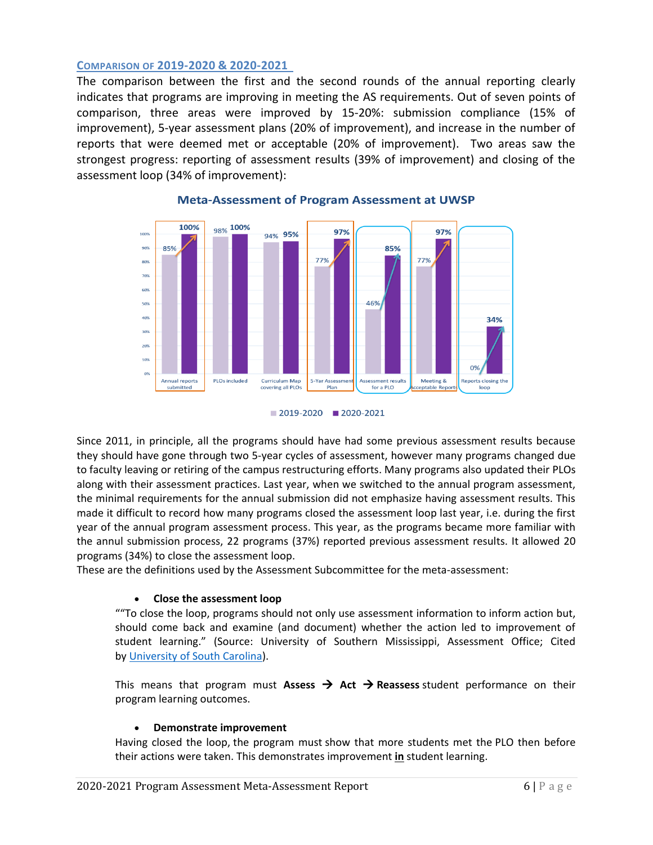#### **COMPARISON OF 2019-2020 & 2020-2021**

The comparison between the first and the second rounds of the annual reporting clearly indicates that programs are improving in meeting the AS requirements. Out of seven points of comparison, three areas were improved by 15-20%: submission compliance (15% of improvement), 5-year assessment plans (20% of improvement), and increase in the number of reports that were deemed met or acceptable (20% of improvement). Two areas saw the strongest progress: reporting of assessment results (39% of improvement) and closing of the assessment loop (34% of improvement):



#### **Meta-Assessment of Program Assessment at UWSP**



Since 2011, in principle, all the programs should have had some previous assessment results because they should have gone through two 5-year cycles of assessment, however many programs changed due to faculty leaving or retiring of the campus restructuring efforts. Many programs also updated their PLOs along with their assessment practices. Last year, when we switched to the annual program assessment, the minimal requirements for the annual submission did not emphasize having assessment results. This made it difficult to record how many programs closed the assessment loop last year, i.e. during the first year of the annual program assessment process. This year, as the programs became more familiar with the annul submission process, 22 programs (37%) reported previous assessment results. It allowed 20 programs (34%) to close the assessment loop.

These are the definitions used by the Assessment Subcommittee for the meta-assessment:

#### • **Close the assessment loop**

""To close the loop, programs should not only use assessment information to inform action but, should come back and examine (and document) whether the action led to improvement of student learning." (Source: University of Southern Mississippi, Assessment Office; Cited by [University of South Carolina\)](https://www.sc.edu/about/offices_and_divisions/institutional_research_assessment_and_analytics/documents/institutional_effectiveness/assessment_toolbox/closing_the_assessment_loop.pdf).

This means that program must **Assess**  $\rightarrow$  **Act**  $\rightarrow$  **Reassess** student performance on their program learning outcomes.

#### • **Demonstrate improvement**

Having closed the loop, the program must show that more students met the PLO then before their actions were taken. This demonstrates improvement **in** student learning.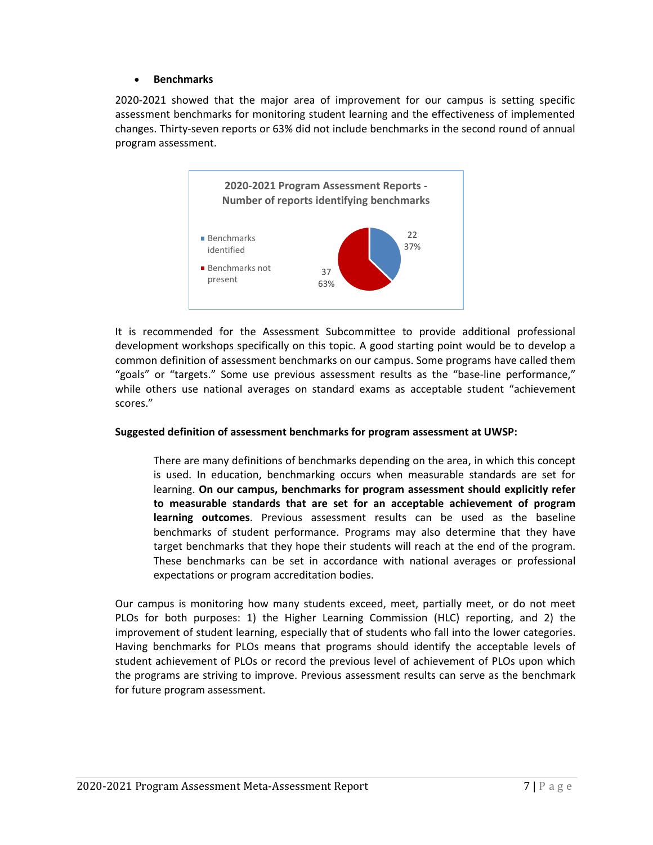#### • **Benchmarks**

2020-2021 showed that the major area of improvement for our campus is setting specific assessment benchmarks for monitoring student learning and the effectiveness of implemented changes. Thirty-seven reports or 63% did not include benchmarks in the second round of annual program assessment.



It is recommended for the Assessment Subcommittee to provide additional professional development workshops specifically on this topic. A good starting point would be to develop a common definition of assessment benchmarks on our campus. Some programs have called them "goals" or "targets." Some use previous assessment results as the "base-line performance," while others use national averages on standard exams as acceptable student "achievement scores."

#### **Suggested definition of assessment benchmarks for program assessment at UWSP:**

There are many definitions of benchmarks depending on the area, in which this concept is used. In education, benchmarking occurs when measurable standards are set for learning. **On our campus, benchmarks for program assessment should explicitly refer to measurable standards that are set for an acceptable achievement of program learning outcomes**. Previous assessment results can be used as the baseline benchmarks of student performance. Programs may also determine that they have target benchmarks that they hope their students will reach at the end of the program. These benchmarks can be set in accordance with national averages or professional expectations or program accreditation bodies.

Our campus is monitoring how many students exceed, meet, partially meet, or do not meet PLOs for both purposes: 1) the Higher Learning Commission (HLC) reporting, and 2) the improvement of student learning, especially that of students who fall into the lower categories. Having benchmarks for PLOs means that programs should identify the acceptable levels of student achievement of PLOs or record the previous level of achievement of PLOs upon which the programs are striving to improve. Previous assessment results can serve as the benchmark for future program assessment.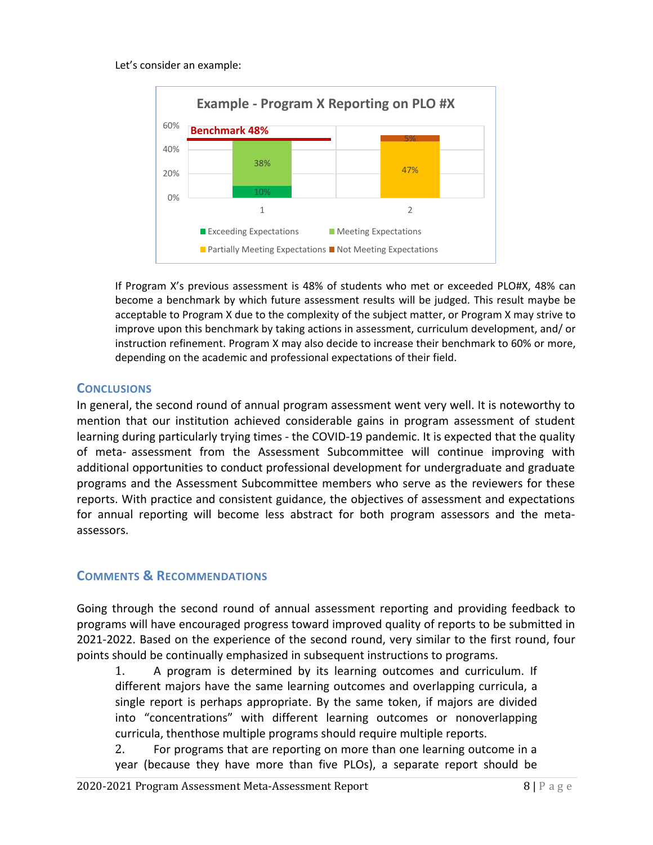#### Let's consider an example:



If Program X's previous assessment is 48% of students who met or exceeded PLO#X, 48% can become a benchmark by which future assessment results will be judged. This result maybe be acceptable to Program X due to the complexity of the subject matter, or Program X may strive to improve upon this benchmark by taking actions in assessment, curriculum development, and/ or instruction refinement. Program X may also decide to increase their benchmark to 60% or more, depending on the academic and professional expectations of their field.

# **CONCLUSIONS**

In general, the second round of annual program assessment went very well. It is noteworthy to mention that our institution achieved considerable gains in program assessment of student learning during particularly trying times - the COVID-19 pandemic. It is expected that the quality of meta- assessment from the Assessment Subcommittee will continue improving with additional opportunities to conduct professional development for undergraduate and graduate programs and the Assessment Subcommittee members who serve as the reviewers for these reports. With practice and consistent guidance, the objectives of assessment and expectations for annual reporting will become less abstract for both program assessors and the metaassessors.

# **COMMENTS & RECOMMENDATIONS**

Going through the second round of annual assessment reporting and providing feedback to programs will have encouraged progress toward improved quality of reports to be submitted in 2021-2022. Based on the experience of the second round, very similar to the first round, four points should be continually emphasized in subsequent instructions to programs.

1. A program is determined by its learning outcomes and curriculum. If different majors have the same learning outcomes and overlapping curricula, a single report is perhaps appropriate. By the same token, if majors are divided into "concentrations" with different learning outcomes or nonoverlapping curricula, thenthose multiple programs should require multiple reports.

2. For programs that are reporting on more than one learning outcome in a year (because they have more than five PLOs), a separate report should be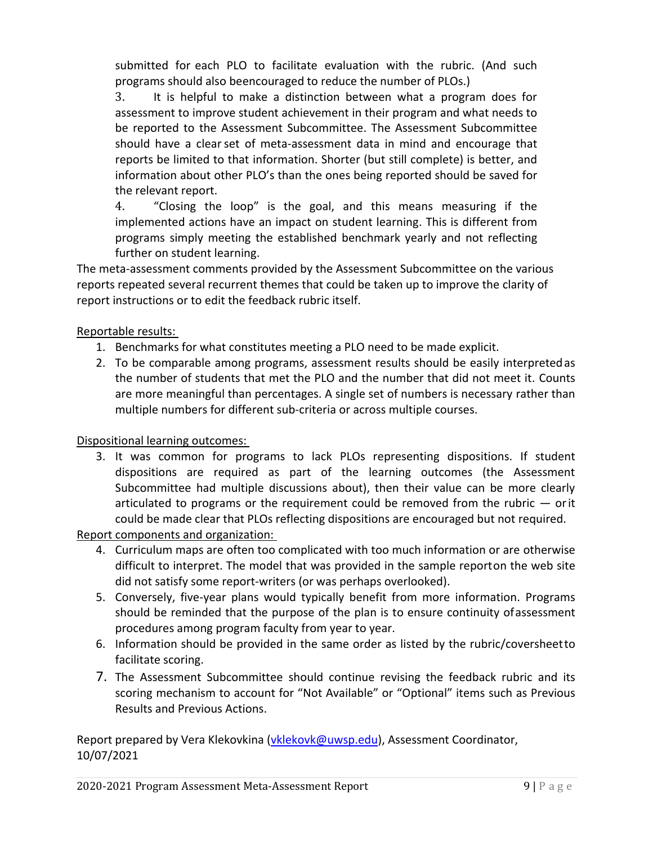submitted for each PLO to facilitate evaluation with the rubric. (And such programs should also beencouraged to reduce the number of PLOs.)

3. It is helpful to make a distinction between what a program does for assessment to improve student achievement in their program and what needs to be reported to the Assessment Subcommittee. The Assessment Subcommittee should have a clearset of meta-assessment data in mind and encourage that reports be limited to that information. Shorter (but still complete) is better, and information about other PLO's than the ones being reported should be saved for the relevant report.

4. "Closing the loop" is the goal, and this means measuring if the implemented actions have an impact on student learning. This is different from programs simply meeting the established benchmark yearly and not reflecting further on student learning.

The meta-assessment comments provided by the Assessment Subcommittee on the various reports repeated several recurrent themes that could be taken up to improve the clarity of report instructions or to edit the feedback rubric itself.

# Reportable results:

- 1. Benchmarks for what constitutes meeting a PLO need to be made explicit.
- 2. To be comparable among programs, assessment results should be easily interpretedas the number of students that met the PLO and the number that did not meet it. Counts are more meaningful than percentages. A single set of numbers is necessary rather than multiple numbers for different sub-criteria or across multiple courses.

# Dispositional learning outcomes:

3. It was common for programs to lack PLOs representing dispositions. If student dispositions are required as part of the learning outcomes (the Assessment Subcommittee had multiple discussions about), then their value can be more clearly articulated to programs or the requirement could be removed from the rubric  $-$  orit could be made clear that PLOs reflecting dispositions are encouraged but not required.

Report components and organization:

- 4. Curriculum maps are often too complicated with too much information or are otherwise difficult to interpret. The model that was provided in the sample reporton the web site did not satisfy some report-writers (or was perhaps overlooked).
- 5. Conversely, five-year plans would typically benefit from more information. Programs should be reminded that the purpose of the plan is to ensure continuity ofassessment procedures among program faculty from year to year.
- 6. Information should be provided in the same order as listed by the rubric/coversheetto facilitate scoring.
- 7. The Assessment Subcommittee should continue revising the feedback rubric and its scoring mechanism to account for "Not Available" or "Optional" items such as Previous Results and Previous Actions.

Report prepared by Vera Klekovkina [\(vklekovk@uwsp.edu\)](mailto:vklekovk@uwsp.edu), Assessment Coordinator, 10/07/2021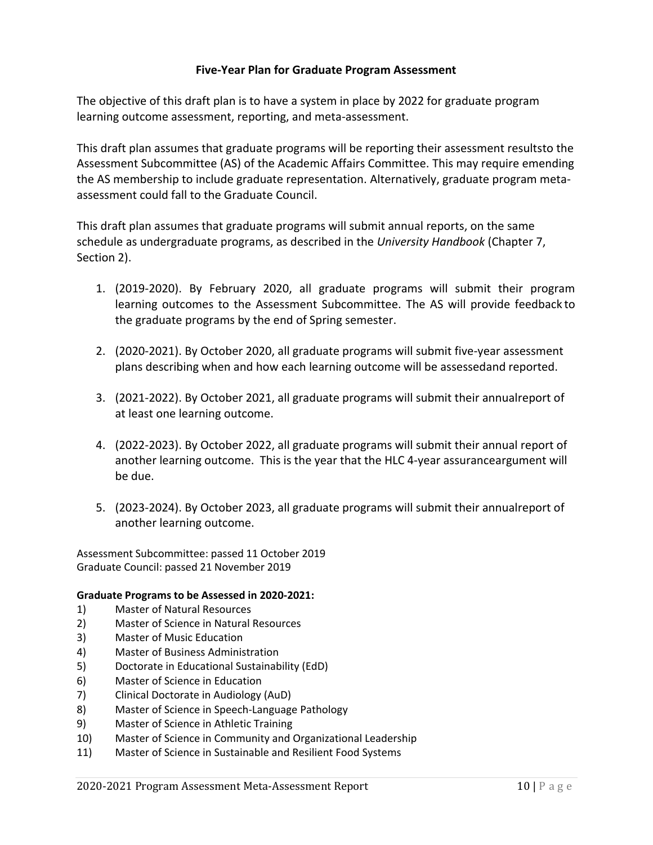# **Five-Year Plan for Graduate Program Assessment**

The objective of this draft plan is to have a system in place by 2022 for graduate program learning outcome assessment, reporting, and meta-assessment.

This draft plan assumes that graduate programs will be reporting their assessment resultsto the Assessment Subcommittee (AS) of the Academic Affairs Committee. This may require emending the AS membership to include graduate representation. Alternatively, graduate program metaassessment could fall to the Graduate Council.

This draft plan assumes that graduate programs will submit annual reports, on the same schedule as undergraduate programs, as described in the *University Handbook* (Chapter 7, Section 2).

- 1. (2019-2020). By February 2020, all graduate programs will submit their program learning outcomes to the Assessment Subcommittee. The AS will provide feedback to the graduate programs by the end of Spring semester.
- 2. (2020-2021). By October 2020, all graduate programs will submit five-year assessment plans describing when and how each learning outcome will be assessedand reported.
- 3. (2021-2022). By October 2021, all graduate programs will submit their annualreport of at least one learning outcome.
- 4. (2022-2023). By October 2022, all graduate programs will submit their annual report of another learning outcome. This is the year that the HLC 4-year assuranceargument will be due.
- 5. (2023-2024). By October 2023, all graduate programs will submit their annualreport of another learning outcome.

Assessment Subcommittee: passed 11 October 2019 Graduate Council: passed 21 November 2019

#### **Graduate Programs to be Assessed in 2020-2021:**

- 1) Master of Natural Resources
- 2) Master of Science in Natural Resources
- 3) Master of Music Education
- 4) Master of Business Administration
- 5) Doctorate in Educational Sustainability (EdD)
- 6) Master of Science in Education
- 7) Clinical Doctorate in Audiology (AuD)
- 8) Master of Science in Speech-Language Pathology
- 9) Master of Science in Athletic Training
- 10) Master of Science in Community and Organizational Leadership
- 11) Master of Science in Sustainable and Resilient Food Systems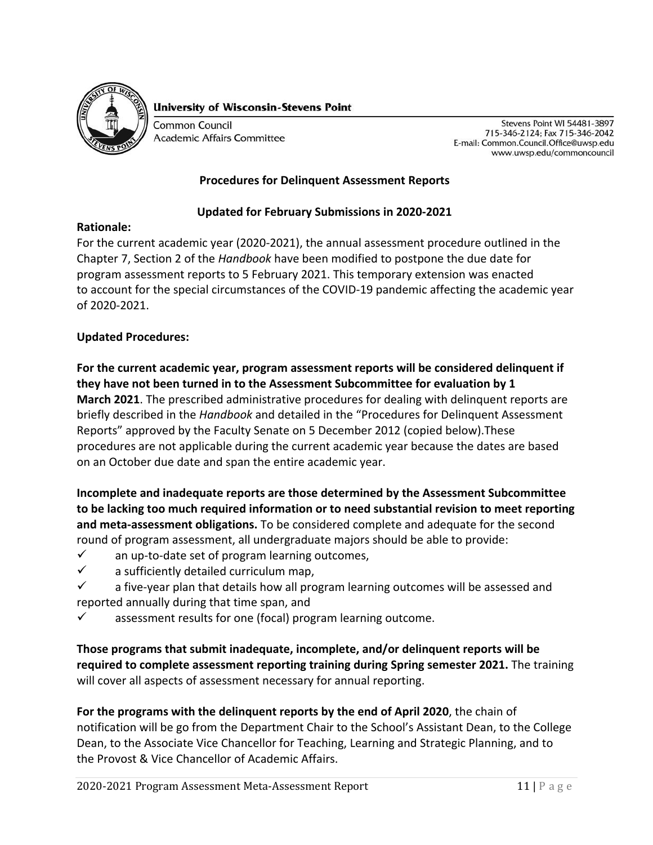

**University of Wisconsin-Stevens Point** 

**Common Council Academic Affairs Committee** 

Stevens Point WI 54481-3897 715-346-2124; Fax 715-346-2042 E-mail: Common.Council.Office@uwsp.edu www.uwsp.edu/commoncouncil

# **Procedures for Delinquent Assessment Reports**

# **Updated for February Submissions in 2020-2021**

#### **Rationale:**

For the current academic year (2020-2021), the annual assessment procedure outlined in the Chapter 7, Section 2 of the *Handbook* have been modified to postpone the due date for program assessment reports to 5 February 2021. This temporary extension was enacted to account for the special circumstances of the COVID-19 pandemic affecting the academic year of 2020-2021.

# **Updated Procedures:**

**For the current academic year, program assessment reports will be considered delinquent if they have not been turned in to the Assessment Subcommittee for evaluation by 1 March 2021**. The prescribed administrative procedures for dealing with delinquent reports are briefly described in the *Handbook* and detailed in the "Procedures for Delinquent Assessment Reports" approved by the Faculty Senate on 5 December 2012 (copied below).These procedures are not applicable during the current academic year because the dates are based on an October due date and span the entire academic year.

**Incomplete and inadequate reports are those determined by the Assessment Subcommittee to be lacking too much required information or to need substantial revision to meet reporting and meta-assessment obligations.** To be considered complete and adequate for the second round of program assessment, all undergraduate majors should be able to provide:

- $\checkmark$  an up-to-date set of program learning outcomes,
- $\checkmark$  a sufficiently detailed curriculum map,
- $\checkmark$  a five-year plan that details how all program learning outcomes will be assessed and reported annually during that time span, and
- $\checkmark$  assessment results for one (focal) program learning outcome.

**Those programs that submit inadequate, incomplete, and/or delinquent reports will be required to complete assessment reporting training during Spring semester 2021.** The training will cover all aspects of assessment necessary for annual reporting.

**For the programs with the delinquent reports by the end of April 2020**, the chain of notification will be go from the Department Chair to the School's Assistant Dean, to the College Dean, to the Associate Vice Chancellor for Teaching, Learning and Strategic Planning, and to the Provost & Vice Chancellor of Academic Affairs.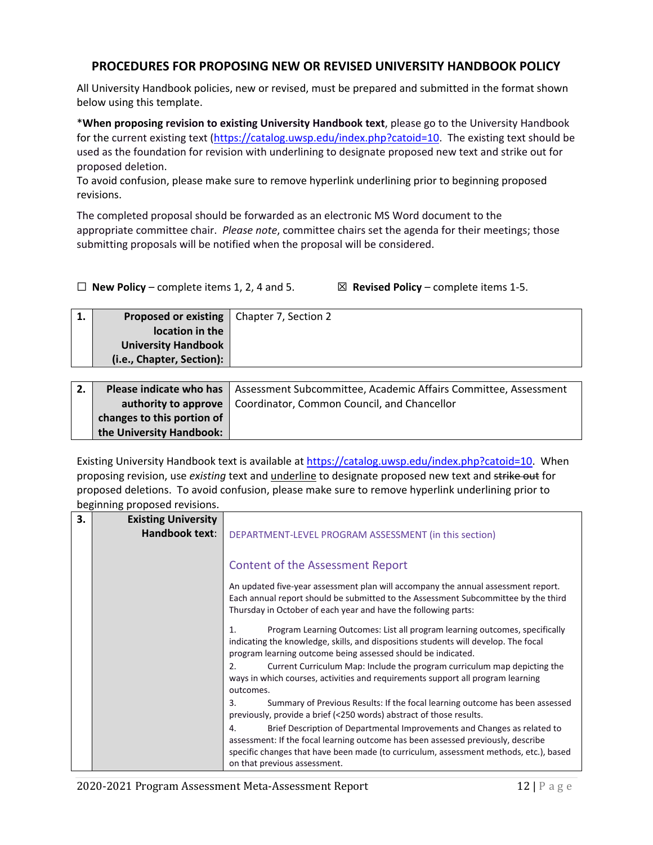# **PROCEDURES FOR PROPOSING NEW OR REVISED UNIVERSITY HANDBOOK POLICY**

All University Handbook policies, new or revised, must be prepared and submitted in the format shown below using this template.

\***When proposing revision to existing University Handbook text**, please go to the University Handbook for the current existing text [\(https://catalog.uwsp.edu/index.php?catoid=10.](https://catalog.uwsp.edu/index.php?catoid=10) The existing text should be used as the foundation for revision with underlining to designate proposed new text and strike out for proposed deletion.

To avoid confusion, please make sure to remove hyperlink underlining prior to beginning proposed revisions.

The completed proposal should be forwarded as an electronic MS Word document to the appropriate committee chair. *Please note*, committee chairs set the agenda for their meetings; those submitting proposals will be notified when the proposal will be considered.

☐ **New Policy** – complete items 1, 2, 4 and 5. ☒ **Revised Policy** – complete items 1-5.

| ⊥. | <b>Proposed or existing   Chapter 7, Section 2</b> |  |
|----|----------------------------------------------------|--|
|    | location in the                                    |  |
|    | <b>University Handbook</b>                         |  |
|    | (i.e., Chapter, Section):                          |  |
|    |                                                    |  |

| 2. |                            | <b>Please indicate who has   Assessment Subcommittee, Academic Affairs Committee, Assessment</b> |
|----|----------------------------|--------------------------------------------------------------------------------------------------|
|    |                            | <b>authority to approve</b>   Coordinator, Common Council, and Chancellor                        |
|    | changes to this portion of |                                                                                                  |
|    | the University Handbook:   |                                                                                                  |

Existing University Handbook text is available at [https://catalog.uwsp.edu/index.php?catoid=10.](https://catalog.uwsp.edu/index.php?catoid=10) When proposing revision, use *existing* text and underline to designate proposed new text and strike out for proposed deletions. To avoid confusion, please make sure to remove hyperlink underlining prior to beginning proposed revisions.

| <b>Existing University</b><br>Handbook text: | DEPARTMENT-LEVEL PROGRAM ASSESSMENT (in this section)                                                                                                                                                                                                                                       |
|----------------------------------------------|---------------------------------------------------------------------------------------------------------------------------------------------------------------------------------------------------------------------------------------------------------------------------------------------|
|                                              | <b>Content of the Assessment Report</b>                                                                                                                                                                                                                                                     |
|                                              | An updated five-year assessment plan will accompany the annual assessment report.<br>Each annual report should be submitted to the Assessment Subcommittee by the third<br>Thursday in October of each year and have the following parts:                                                   |
|                                              | Program Learning Outcomes: List all program learning outcomes, specifically<br>$\mathbf{1}$ .<br>indicating the knowledge, skills, and dispositions students will develop. The focal<br>program learning outcome being assessed should be indicated.                                        |
|                                              | Current Curriculum Map: Include the program curriculum map depicting the<br>2.<br>ways in which courses, activities and requirements support all program learning<br>outcomes.                                                                                                              |
|                                              | Summary of Previous Results: If the focal learning outcome has been assessed<br>3.<br>previously, provide a brief (<250 words) abstract of those results.                                                                                                                                   |
|                                              | Brief Description of Departmental Improvements and Changes as related to<br>4.<br>assessment: If the focal learning outcome has been assessed previously, describe<br>specific changes that have been made (to curriculum, assessment methods, etc.), based<br>on that previous assessment. |
|                                              |                                                                                                                                                                                                                                                                                             |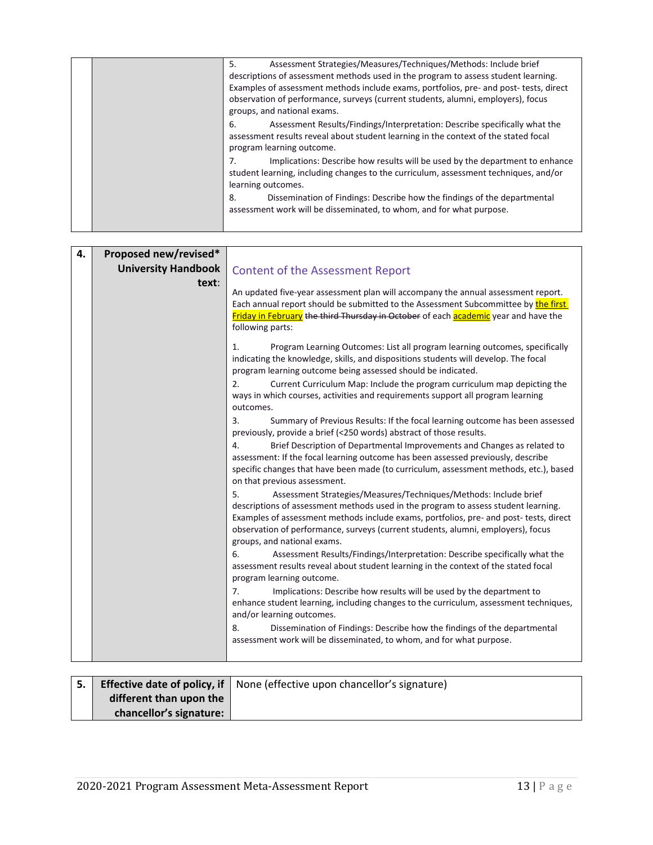|  | Assessment Strategies/Measures/Techniques/Methods: Include brief<br>5.                                                                                                                               |
|--|------------------------------------------------------------------------------------------------------------------------------------------------------------------------------------------------------|
|  | descriptions of assessment methods used in the program to assess student learning.                                                                                                                   |
|  | Examples of assessment methods include exams, portfolios, pre- and post- tests, direct                                                                                                               |
|  | observation of performance, surveys (current students, alumni, employers), focus<br>groups, and national exams.                                                                                      |
|  | Assessment Results/Findings/Interpretation: Describe specifically what the<br>6.<br>assessment results reveal about student learning in the context of the stated focal<br>program learning outcome. |
|  | Implications: Describe how results will be used by the department to enhance<br>7.<br>student learning, including changes to the curriculum, assessment techniques, and/or<br>learning outcomes.     |
|  | Dissemination of Findings: Describe how the findings of the departmental<br>8.<br>assessment work will be disseminated, to whom, and for what purpose.                                               |
|  |                                                                                                                                                                                                      |

| 4. | Proposed new/revised*      |                                                                                                                                                                                                                                                                                                                                                                           |
|----|----------------------------|---------------------------------------------------------------------------------------------------------------------------------------------------------------------------------------------------------------------------------------------------------------------------------------------------------------------------------------------------------------------------|
|    | <b>University Handbook</b> | <b>Content of the Assessment Report</b>                                                                                                                                                                                                                                                                                                                                   |
|    | text:                      | An updated five-year assessment plan will accompany the annual assessment report.<br>Each annual report should be submitted to the Assessment Subcommittee by the first<br>Friday in February the third Thursday in October of each academic year and have the<br>following parts:                                                                                        |
|    |                            | Program Learning Outcomes: List all program learning outcomes, specifically<br>1.<br>indicating the knowledge, skills, and dispositions students will develop. The focal<br>program learning outcome being assessed should be indicated.<br>2.<br>Current Curriculum Map: Include the program curriculum map depicting the                                                |
|    |                            | ways in which courses, activities and requirements support all program learning<br>outcomes.                                                                                                                                                                                                                                                                              |
|    |                            | 3.<br>Summary of Previous Results: If the focal learning outcome has been assessed<br>previously, provide a brief (<250 words) abstract of those results.                                                                                                                                                                                                                 |
|    |                            | 4.<br>Brief Description of Departmental Improvements and Changes as related to<br>assessment: If the focal learning outcome has been assessed previously, describe<br>specific changes that have been made (to curriculum, assessment methods, etc.), based<br>on that previous assessment.                                                                               |
|    |                            | 5.<br>Assessment Strategies/Measures/Techniques/Methods: Include brief<br>descriptions of assessment methods used in the program to assess student learning.<br>Examples of assessment methods include exams, portfolios, pre- and post- tests, direct<br>observation of performance, surveys (current students, alumni, employers), focus<br>groups, and national exams. |
|    |                            | 6.<br>Assessment Results/Findings/Interpretation: Describe specifically what the<br>assessment results reveal about student learning in the context of the stated focal<br>program learning outcome.                                                                                                                                                                      |
|    |                            | 7.<br>Implications: Describe how results will be used by the department to<br>enhance student learning, including changes to the curriculum, assessment techniques,<br>and/or learning outcomes.                                                                                                                                                                          |
|    |                            | 8.<br>Dissemination of Findings: Describe how the findings of the departmental<br>assessment work will be disseminated, to whom, and for what purpose.                                                                                                                                                                                                                    |
|    |                            |                                                                                                                                                                                                                                                                                                                                                                           |

| l 5. l |                         | <b>Effective date of policy, if</b> None (effective upon chancellor's signature) |
|--------|-------------------------|----------------------------------------------------------------------------------|
|        | different than upon the |                                                                                  |
|        | chancellor's signature: |                                                                                  |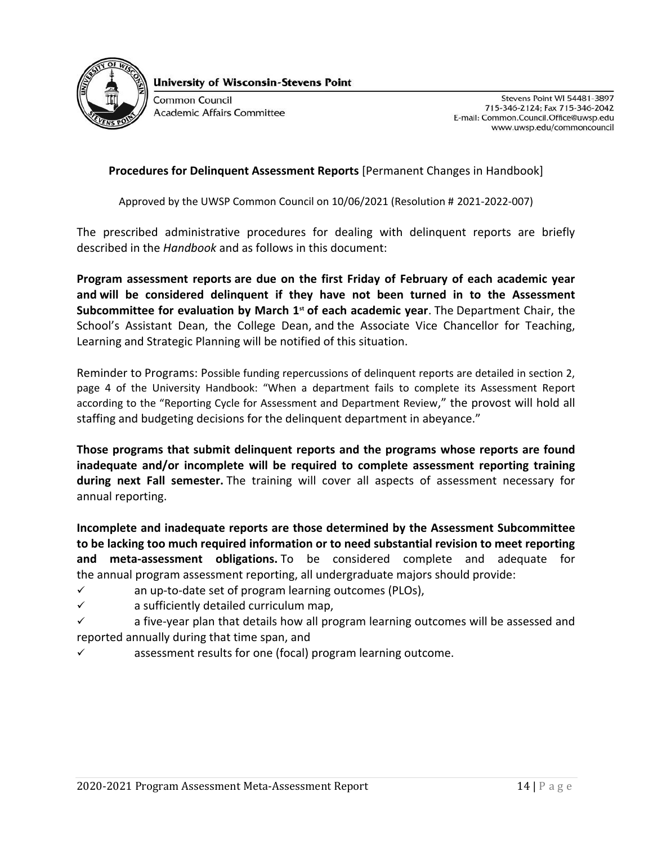

**University of Wisconsin-Stevens Point** 

Common Council Academic Affairs Committee

Stevens Point WI 54481-3897 715-346-2124; Fax 715-346-2042 E-mail: Common.Council.Office@uwsp.edu www.uwsp.edu/commoncouncil

# **Procedures for Delinquent Assessment Reports** [Permanent Changes in Handbook]

Approved by the UWSP Common Council on 10/06/2021 (Resolution # 2021-2022-007)

The prescribed administrative procedures for dealing with delinquent reports are briefly described in the *Handbook* and as follows in this document:

**Program assessment reports are due on the first Friday of February of each academic year and will be considered delinquent if they have not been turned in to the Assessment Subcommittee for evaluation by March 1st of each academic year**. The Department Chair, the School's Assistant Dean, the College Dean, and the Associate Vice Chancellor for Teaching, Learning and Strategic Planning will be notified of this situation.

Reminder to Programs: Possible funding repercussions of delinquent reports are detailed in section 2, page 4 of the University Handbook: "When a department fails to complete its Assessment Report according to the "Reporting Cycle for Assessment and Department Review," the provost will hold all staffing and budgeting decisions for the delinquent department in abeyance."

**Those programs that submit delinquent reports and the programs whose reports are found inadequate and/or incomplete will be required to complete assessment reporting training during next Fall semester.** The training will cover all aspects of assessment necessary for annual reporting.

**Incomplete and inadequate reports are those determined by the Assessment Subcommittee to be lacking too much required information or to need substantial revision to meet reporting and meta-assessment obligations.** To be considered complete and adequate for the annual program assessment reporting, all undergraduate majors should provide:

- $\checkmark$  an up-to-date set of program learning outcomes (PLOs),
- ✓ a sufficiently detailed curriculum map,
- $\checkmark$  a five-year plan that details how all program learning outcomes will be assessed and reported annually during that time span, and
- $\checkmark$  assessment results for one (focal) program learning outcome.